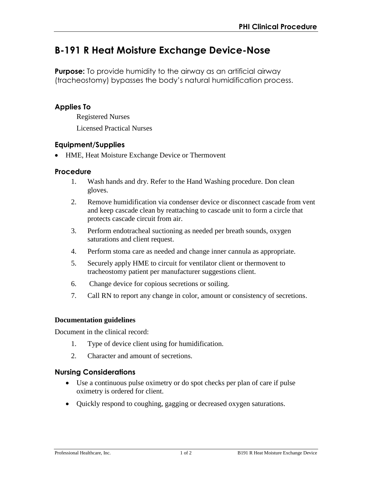# **B-191 R Heat Moisture Exchange Device-Nose**

**Purpose:** To provide humidity to the airway as an artificial airway (tracheostomy) bypasses the body's natural humidification process.

# **Applies To**

Registered Nurses Licensed Practical Nurses

## **Equipment/Supplies**

HME, Heat Moisture Exchange Device or Thermovent

#### **Procedure**

- 1. Wash hands and dry. Refer to the Hand Washing procedure. Don clean gloves.
- 2. Remove humidification via condenser device or disconnect cascade from vent and keep cascade clean by reattaching to cascade unit to form a circle that protects cascade circuit from air.
- 3. Perform endotracheal suctioning as needed per breath sounds, oxygen saturations and client request.
- 4. Perform stoma care as needed and change inner cannula as appropriate.
- 5. Securely apply HME to circuit for ventilator client or thermovent to tracheostomy patient per manufacturer suggestions client.
- 6. Change device for copious secretions or soiling.
- 7. Call RN to report any change in color, amount or consistency of secretions.

#### **Documentation guidelines**

Document in the clinical record:

- 1. Type of device client using for humidification.
- 2. Character and amount of secretions.

#### **Nursing Considerations**

- Use a continuous pulse oximetry or do spot checks per plan of care if pulse oximetry is ordered for client.
- Quickly respond to coughing, gagging or decreased oxygen saturations.